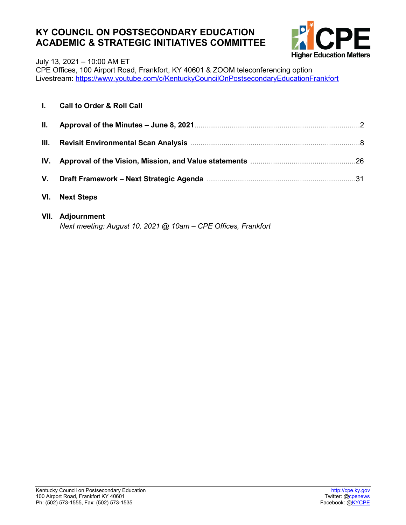### **KY COUNCIL ON POSTSECONDARY EDUCATION ACADEMIC & STRATEGIC INITIATIVES COMMITTEE**



July 13, 2021 – 10:00 AM ET

CPE Offices, 100 Airport Road, Frankfort, KY 40601 & ZOOM teleconferencing option Livestream:<https://www.youtube.com/c/KentuckyCouncilOnPostsecondaryEducationFrankfort>

|      | I. Call to Order & Roll Call |  |
|------|------------------------------|--|
| H.   |                              |  |
| III. |                              |  |
|      |                              |  |
|      |                              |  |
| VI.  | <b>Next Steps</b>            |  |
|      | <b>VII.</b> Adjournment      |  |

*Next meeting: August 10, 2021 @ 10am – CPE Offices, Frankfort*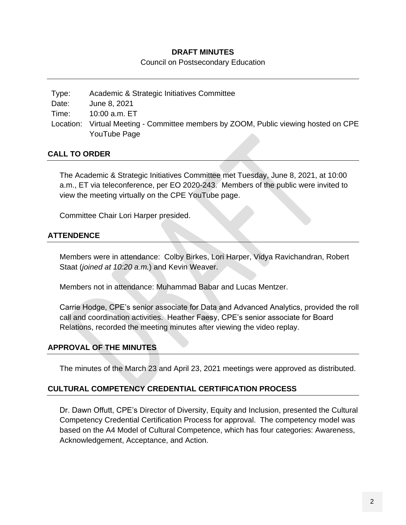#### **DRAFT MINUTES**

Council on Postsecondary Education

Type: Academic & Strategic Initiatives Committee Date: June 8, 2021 Time: 10:00 a.m. ET Location: Virtual Meeting - Committee members by ZOOM, Public viewing hosted on CPE YouTube Page

#### **CALL TO ORDER**

The Academic & Strategic Initiatives Committee met Tuesday, June 8, 2021, at 10:00 a.m., ET via teleconference, per EO 2020-243. Members of the public were invited to view the meeting virtually on the CPE YouTube page.

Committee Chair Lori Harper presided.

#### **ATTENDENCE**

Members were in attendance: Colby Birkes, Lori Harper, Vidya Ravichandran, Robert Staat (*joined at 10:20 a.m.*) and Kevin Weaver.

Members not in attendance: Muhammad Babar and Lucas Mentzer.

Carrie Hodge, CPE's senior associate for Data and Advanced Analytics, provided the roll call and coordination activities. Heather Faesy, CPE's senior associate for Board Relations, recorded the meeting minutes after viewing the video replay.

#### **APPROVAL OF THE MINUTES**

The minutes of the March 23 and April 23, 2021 meetings were approved as distributed.

#### **CULTURAL COMPETENCY CREDENTIAL CERTIFICATION PROCESS**

Dr. Dawn Offutt, CPE's Director of Diversity, Equity and Inclusion, presented the Cultural Competency Credential Certification Process for approval. The competency model was based on the A4 Model of Cultural Competence, which has four categories: Awareness, Acknowledgement, Acceptance, and Action.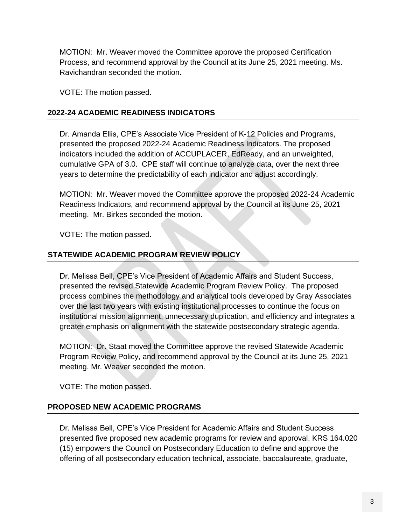MOTION: Mr. Weaver moved the Committee approve the proposed Certification Process, and recommend approval by the Council at its June 25, 2021 meeting. Ms. Ravichandran seconded the motion.

VOTE: The motion passed.

#### **2022-24 ACADEMIC READINESS INDICATORS**

Dr. Amanda Ellis, CPE's Associate Vice President of K-12 Policies and Programs, presented the proposed 2022-24 Academic Readiness Indicators. The proposed indicators included the addition of ACCUPLACER, EdReady, and an unweighted, cumulative GPA of 3.0. CPE staff will continue to analyze data, over the next three years to determine the predictability of each indicator and adjust accordingly.

MOTION: Mr. Weaver moved the Committee approve the proposed 2022-24 Academic Readiness Indicators, and recommend approval by the Council at its June 25, 2021 meeting. Mr. Birkes seconded the motion.

VOTE: The motion passed.

#### **STATEWIDE ACADEMIC PROGRAM REVIEW POLICY**

Dr. Melissa Bell, CPE's Vice President of Academic Affairs and Student Success, presented the revised Statewide Academic Program Review Policy. The proposed process combines the methodology and analytical tools developed by Gray Associates over the last two years with existing institutional processes to continue the focus on institutional mission alignment, unnecessary duplication, and efficiency and integrates a greater emphasis on alignment with the statewide postsecondary strategic agenda.

MOTION: Dr. Staat moved the Committee approve the revised Statewide Academic Program Review Policy, and recommend approval by the Council at its June 25, 2021 meeting. Mr. Weaver seconded the motion.

VOTE: The motion passed.

#### **PROPOSED NEW ACADEMIC PROGRAMS**

Dr. Melissa Bell, CPE's Vice President for Academic Affairs and Student Success presented five proposed new academic programs for review and approval. KRS 164.020 (15) empowers the Council on Postsecondary Education to define and approve the offering of all postsecondary education technical, associate, baccalaureate, graduate,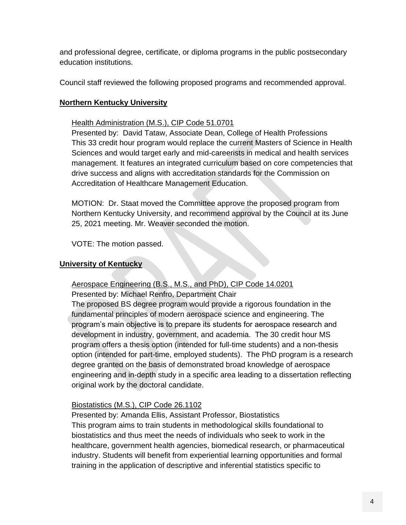and professional degree, certificate, or diploma programs in the public postsecondary education institutions.

Council staff reviewed the following proposed programs and recommended approval.

#### **Northern Kentucky University**

#### Health Administration (M.S.), CIP Code 51.0701

Presented by: David Tataw, Associate Dean, College of Health Professions This 33 credit hour program would replace the current Masters of Science in Health Sciences and would target early and mid-careerists in medical and health services management. It features an integrated curriculum based on core competencies that drive success and aligns with accreditation standards for the Commission on Accreditation of Healthcare Management Education.

MOTION: Dr. Staat moved the Committee approve the proposed program from Northern Kentucky University, and recommend approval by the Council at its June 25, 2021 meeting. Mr. Weaver seconded the motion.

VOTE: The motion passed.

#### **University of Kentucky**

#### Aerospace Engineering (B.S., M.S., and PhD), CIP Code 14.0201

Presented by: Michael Renfro, Department Chair

The proposed BS degree program would provide a rigorous foundation in the fundamental principles of modern aerospace science and engineering. The program's main objective is to prepare its students for aerospace research and development in industry, government, and academia. The 30 credit hour MS program offers a thesis option (intended for full-time students) and a non-thesis option (intended for part-time, employed students). The PhD program is a research degree granted on the basis of demonstrated broad knowledge of aerospace engineering and in-depth study in a specific area leading to a dissertation reflecting original work by the doctoral candidate.

#### Biostatistics (M.S.), CIP Code 26.1102

Presented by: Amanda Ellis, Assistant Professor, Biostatistics This program aims to train students in methodological skills foundational to biostatistics and thus meet the needs of individuals who seek to work in the healthcare, government health agencies, biomedical research, or pharmaceutical industry. Students will benefit from experiential learning opportunities and formal training in the application of descriptive and inferential statistics specific to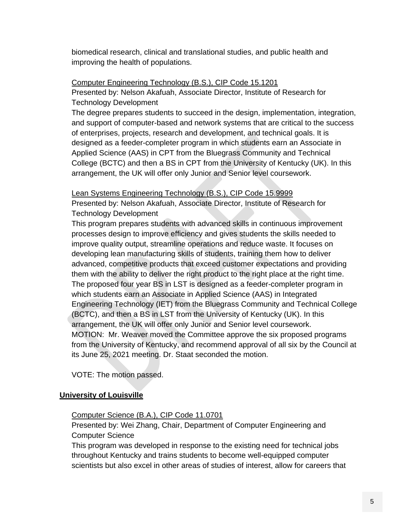biomedical research, clinical and translational studies, and public health and improving the health of populations.

#### Computer Engineering Technology (B.S.), CIP Code 15.1201

Presented by: Nelson Akafuah, Associate Director, Institute of Research for Technology Development

The degree prepares students to succeed in the design, implementation, integration, and support of computer-based and network systems that are critical to the success of enterprises, projects, research and development, and technical goals. It is designed as a feeder-completer program in which students earn an Associate in Applied Science (AAS) in CPT from the Bluegrass Community and Technical College (BCTC) and then a BS in CPT from the University of Kentucky (UK). In this arrangement, the UK will offer only Junior and Senior level coursework.

#### Lean Systems Engineering Technology (B.S.), CIP Code 15.9999

Presented by: Nelson Akafuah, Associate Director, Institute of Research for Technology Development

This program prepares students with advanced skills in continuous improvement processes design to improve efficiency and gives students the skills needed to improve quality output, streamline operations and reduce waste. It focuses on developing lean manufacturing skills of students, training them how to deliver advanced, competitive products that exceed customer expectations and providing them with the ability to deliver the right product to the right place at the right time. The proposed four year BS in LST is designed as a feeder-completer program in which students earn an Associate in Applied Science (AAS) in Integrated Engineering Technology (IET) from the Bluegrass Community and Technical College (BCTC), and then a BS in LST from the University of Kentucky (UK). In this arrangement, the UK will offer only Junior and Senior level coursework. MOTION: Mr. Weaver moved the Committee approve the six proposed programs from the University of Kentucky, and recommend approval of all six by the Council at its June 25, 2021 meeting. Dr. Staat seconded the motion.

VOTE: The motion passed.

#### **University of Louisville**

#### Computer Science (B.A.), CIP Code 11.0701

Presented by: Wei Zhang, Chair, Department of Computer Engineering and Computer Science

This program was developed in response to the existing need for technical jobs throughout Kentucky and trains students to become well-equipped computer scientists but also excel in other areas of studies of interest, allow for careers that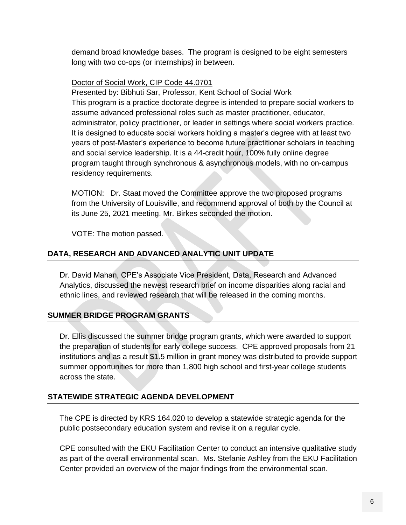demand broad knowledge bases. The program is designed to be eight semesters long with two co-ops (or internships) in between.

#### Doctor of Social Work, CIP Code 44.0701

Presented by: Bibhuti Sar, Professor, Kent School of Social Work This program is a practice doctorate degree is intended to prepare social workers to assume advanced professional roles such as master practitioner, educator, administrator, policy practitioner, or leader in settings where social workers practice. It is designed to educate social workers holding a master's degree with at least two years of post-Master's experience to become future practitioner scholars in teaching and social service leadership. It is a 44-credit hour, 100% fully online degree program taught through synchronous & asynchronous models, with no on-campus residency requirements.

MOTION: Dr. Staat moved the Committee approve the two proposed programs from the University of Louisville, and recommend approval of both by the Council at its June 25, 2021 meeting. Mr. Birkes seconded the motion.

VOTE: The motion passed.

#### **DATA, RESEARCH AND ADVANCED ANALYTIC UNIT UPDATE**

Dr. David Mahan, CPE's Associate Vice President, Data, Research and Advanced Analytics, discussed the newest research brief on income disparities along racial and ethnic lines, and reviewed research that will be released in the coming months.

#### **SUMMER BRIDGE PROGRAM GRANTS**

Dr. Ellis discussed the summer bridge program grants, which were awarded to support the preparation of students for early college success. CPE approved proposals from 21 institutions and as a result \$1.5 million in grant money was distributed to provide support summer opportunities for more than 1,800 high school and first-year college students across the state.

#### **STATEWIDE STRATEGIC AGENDA DEVELOPMENT**

The CPE is directed by KRS 164.020 to develop a statewide strategic agenda for the public postsecondary education system and revise it on a regular cycle.

CPE consulted with the EKU Facilitation Center to conduct an intensive qualitative study as part of the overall environmental scan. Ms. Stefanie Ashley from the EKU Facilitation Center provided an overview of the major findings from the environmental scan.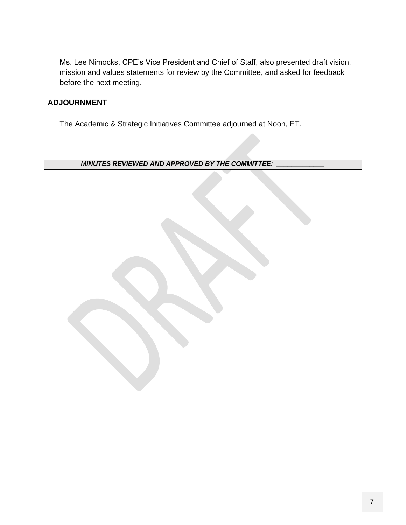Ms. Lee Nimocks, CPE's Vice President and Chief of Staff, also presented draft vision, mission and values statements for review by the Committee, and asked for feedback before the next meeting.

#### **ADJOURNMENT**

The Academic & Strategic Initiatives Committee adjourned at Noon, ET.

*MINUTES REVIEWED AND APPROVED BY THE COMMITTEE: \_\_\_\_\_\_\_\_\_\_\_\_\_*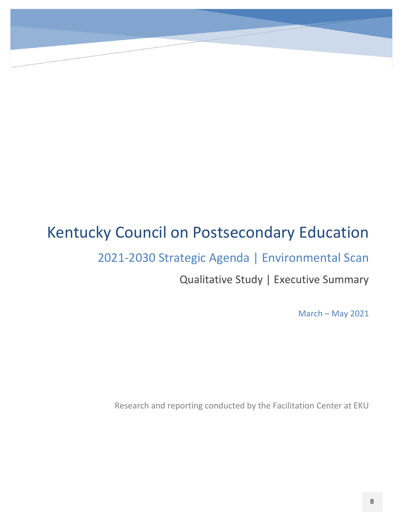### Kentucky Council on Postsecondary Education

2021-2030 Strategic Agenda | Environmental Scan

Qualitative Study | Executive Summary

March – May 2021

Research and reporting conducted by the Facilitation Center at EKU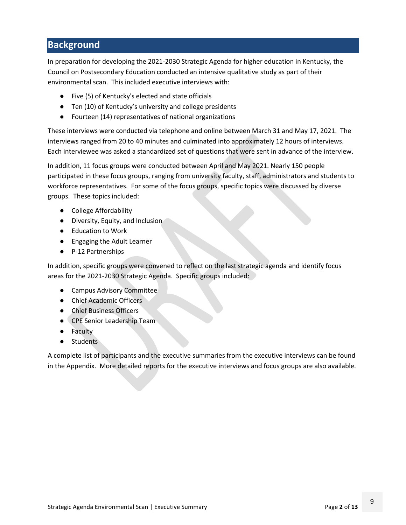### **Background**

In preparation for developing the 2021-2030 Strategic Agenda for higher education in Kentucky, the Council on Postsecondary Education conducted an intensive qualitative study as part of their environmental scan. This included executive interviews with:

- Five (5) of Kentucky's elected and state officials
- Ten (10) of Kentucky's university and college presidents
- Fourteen (14) representatives of national organizations

These interviews were conducted via telephone and online between March 31 and May 17, 2021. The interviews ranged from 20 to 40 minutes and culminated into approximately 12 hours of interviews. Each interviewee was asked a standardized set of questions that were sent in advance of the interview.

In addition, 11 focus groups were conducted between April and May 2021. Nearly 150 people participated in these focus groups, ranging from university faculty, staff, administrators and students to workforce representatives. For some of the focus groups, specific topics were discussed by diverse groups. These topics included:

- College Affordability
- Diversity, Equity, and Inclusion
- Education to Work
- Engaging the Adult Learner
- P-12 Partnerships

In addition, specific groups were convened to reflect on the last strategic agenda and identify focus areas for the 2021-2030 Strategic Agenda. Specific groups included:

- Campus Advisory Committee
- Chief Academic Officers
- Chief Business Officers
- CPE Senior Leadership Team
- Faculty
- Students

A complete list of participants and the executive summaries from the executive interviews can be found in the Appendix. More detailed reports for the executive interviews and focus groups are also available.

9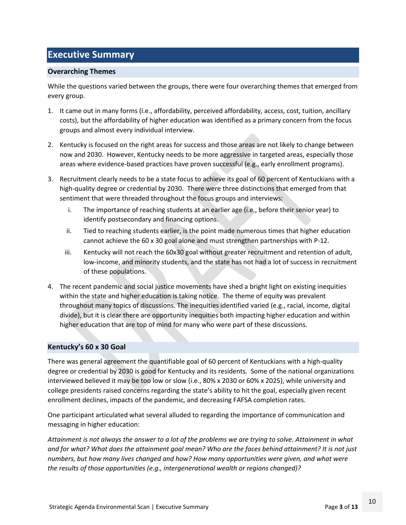### **Executive Summary**

#### **Overarching Themes**

While the questions varied between the groups, there were four overarching themes that emerged from every group.

- 1. It came out in many forms (i.e., affordability, perceived affordability, access, cost, tuition, ancillary costs), but the affordability of higher education was identified as a primary concern from the focus groups and almost every individual interview.
- 2. Kentucky is focused on the right areas for success and those areas are not likely to change between now and 2030. However, Kentucky needs to be more aggressive in targeted areas, especially those areas where evidence-based practices have proven successful (e.g., early enrollment programs).
- 3. Recruitment clearly needs to be a state focus to achieve its goal of 60 percent of Kentuckians with a high-quality degree or credential by 2030. There were three distinctions that emerged from that sentiment that were threaded throughout the focus groups and interviews:
	- i. The importance of reaching students at an earlier age (i.e., before their senior year) to identify postsecondary and financing options.
	- ii. Tied to reaching students earlier, is the point made numerous times that higher education cannot achieve the 60 x 30 goal alone and must strengthen partnerships with P-12.
	- iii. Kentucky will not reach the 60x30 goal without greater recruitment and retention of adult, low-income, and minority students, and the state has not had a lot of success in recruitment of these populations.
- 4. The recent pandemic and social justice movements have shed a bright light on existing inequities within the state and higher education is taking notice. The theme of equity was prevalent throughout many topics of discussions. The inequities identified varied (e.g., racial, income, digital divide), but it is clear there are opportunity inequities both impacting higher education and within higher education that are top of mind for many who were part of these discussions.

#### **Kentucky's 60 x 30 Goal**

There was general agreement the quantifiable goal of 60 percent of Kentuckians with a high-quality degree or credential by 2030 is good for Kentucky and its residents. Some of the national organizations interviewed believed it may be too low or slow (i.e., 80% x 2030 or 60% x 2025), while university and college presidents raised concerns regarding the state's ability to hit the goal, especially given recent enrollment declines, impacts of the pandemic, and decreasing FAFSA completion rates.

One participant articulated what several alluded to regarding the importance of communication and messaging in higher education:

*Attainment is not always the answer to a lot of the problems we are trying to solve. Attainment in what and for what? What does the attainment goal mean? Who are the faces behind attainment? It is not just numbers, but how many lives changed and how? How many opportunities were given, and what were the results of those opportunities (e.g., intergenerational wealth or regions changed)?*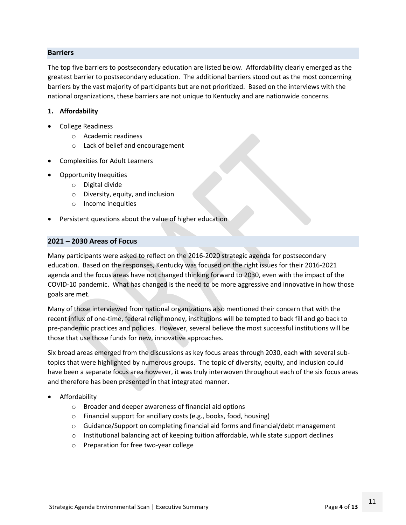#### **Barriers**

The top five barriers to postsecondary education are listed below. Affordability clearly emerged as the greatest barrier to postsecondary education. The additional barriers stood out as the most concerning barriers by the vast majority of participants but are not prioritized. Based on the interviews with the national organizations, these barriers are not unique to Kentucky and are nationwide concerns.

#### **1. Affordability**

- College Readiness
	- o Academic readiness
	- o Lack of belief and encouragement
- Complexities for Adult Learners
- Opportunity Inequities
	- o Digital divide
	- o Diversity, equity, and inclusion
	- o Income inequities
- Persistent questions about the value of higher education

#### **2021 – 2030 Areas of Focus**

Many participants were asked to reflect on the 2016-2020 strategic agenda for postsecondary education. Based on the responses, Kentucky was focused on the right issues for their 2016-2021 agenda and the focus areas have not changed thinking forward to 2030, even with the impact of the COVID-10 pandemic. What has changed is the need to be more aggressive and innovative in how those goals are met.

Many of those interviewed from national organizations also mentioned their concern that with the recent influx of one-time, federal relief money, institutions will be tempted to back fill and go back to pre-pandemic practices and policies. However, several believe the most successful institutions will be those that use those funds for new, innovative approaches.

Six broad areas emerged from the discussions as key focus areas through 2030, each with several subtopics that were highlighted by numerous groups. The topic of diversity, equity, and inclusion could have been a separate focus area however, it was truly interwoven throughout each of the six focus areas and therefore has been presented in that integrated manner.

- Affordability
	- o Broader and deeper awareness of financial aid options
	- o Financial support for ancillary costs (e.g., books, food, housing)
	- $\circ$  Guidance/Support on completing financial aid forms and financial/debt management
	- $\circ$  Institutional balancing act of keeping tuition affordable, while state support declines
	- o Preparation for free two-year college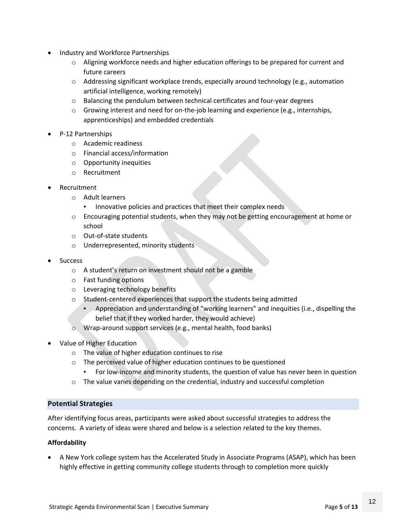- Industry and Workforce Partnerships
	- o Aligning workforce needs and higher education offerings to be prepared for current and future careers
	- $\circ$  Addressing significant workplace trends, especially around technology (e.g., automation artificial intelligence, working remotely)
	- o Balancing the pendulum between technical certificates and four-year degrees
	- o Growing interest and need for on-the-job learning and experience (e.g., internships, apprenticeships) and embedded credentials
- P-12 Partnerships
	- o Academic readiness
	- o Financial access/information
	- o Opportunity inequities
	- o Recruitment
- Recruitment
	- o Adult learners
		- Innovative policies and practices that meet their complex needs
	- $\circ$  Encouraging potential students, when they may not be getting encouragement at home or school
	- o Out-of-state students
	- o Underrepresented, minority students
- Success
	- o A student's return on investment should not be a gamble
	- o Fast funding options
	- o Leveraging technology benefits
	- o Student-centered experiences that support the students being admitted
		- Appreciation and understanding of "working learners" and inequities (i.e., dispelling the belief that if they worked harder, they would achieve)
	- o Wrap-around support services (e.g., mental health, food banks)
- Value of Higher Education
	- o The value of higher education continues to rise
	- o The perceived value of higher education continues to be questioned
		- For low-income and minority students, the question of value has never been in question
	- $\circ$  The value varies depending on the credential, industry and successful completion

#### **Potential Strategies**

After identifying focus areas, participants were asked about successful strategies to address the concerns. A variety of ideas were shared and below is a selection related to the key themes.

#### **Affordability**

• A New York college system has the Accelerated Study in Associate Programs (ASAP), which has been highly effective in getting community college students through to completion more quickly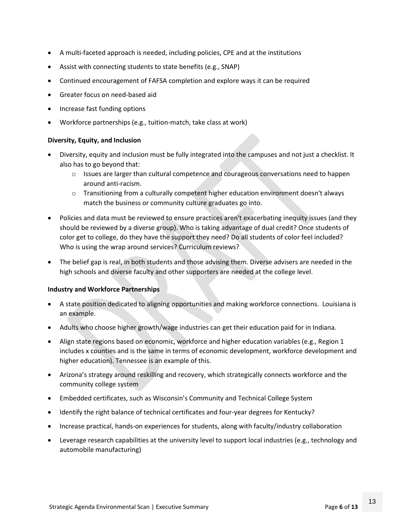- A multi-faceted approach is needed, including policies, CPE and at the institutions
- Assist with connecting students to state benefits (e.g., SNAP)
- Continued encouragement of FAFSA completion and explore ways it can be required
- Greater focus on need-based aid
- Increase fast funding options
- Workforce partnerships (e.g., tuition-match, take class at work)

#### **Diversity, Equity, and Inclusion**

- Diversity, equity and inclusion must be fully integrated into the campuses and not just a checklist. It also has to go beyond that:
	- $\circ$  Issues are larger than cultural competence and courageous conversations need to happen around anti-racism.
	- $\circ$  Transitioning from a culturally competent higher education environment doesn't always match the business or community culture graduates go into.
- Policies and data must be reviewed to ensure practices aren't exacerbating inequity issues (and they should be reviewed by a diverse group). Who is taking advantage of dual credit? Once students of color get to college, do they have the support they need? Do all students of color feel included? Who is using the wrap around services? Curriculum reviews?
- The belief gap is real, in both students and those advising them. Diverse advisers are needed in the high schools and diverse faculty and other supporters are needed at the college level.

#### **Industry and Workforce Partnerships**

- A state position dedicated to aligning opportunities and making workforce connections. Louisiana is an example.
- Adults who choose higher growth/wage industries can get their education paid for in Indiana.
- Align state regions based on economic, workforce and higher education variables (e.g., Region 1 includes x counties and is the same in terms of economic development, workforce development and higher education). Tennessee is an example of this.
- Arizona's strategy around reskilling and recovery, which strategically connects workforce and the community college system
- Embedded certificates, such as Wisconsin's Community and Technical College System
- Identify the right balance of technical certificates and four-year degrees for Kentucky?
- Increase practical, hands-on experiences for students, along with faculty/industry collaboration
- Leverage research capabilities at the university level to support local industries (e.g., technology and automobile manufacturing)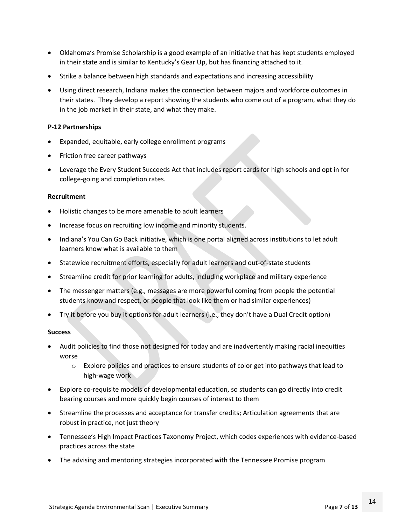- Oklahoma's Promise Scholarship is a good example of an initiative that has kept students employed in their state and is similar to Kentucky's Gear Up, but has financing attached to it.
- Strike a balance between high standards and expectations and increasing accessibility
- Using direct research, Indiana makes the connection between majors and workforce outcomes in their states. They develop a report showing the students who come out of a program, what they do in the job market in their state, and what they make.

#### **P-12 Partnerships**

- Expanded, equitable, early college enrollment programs
- Friction free career pathways
- Leverage the Every Student Succeeds Act that includes report cards for high schools and opt in for college-going and completion rates.

#### **Recruitment**

- Holistic changes to be more amenable to adult learners
- Increase focus on recruiting low income and minority students.
- Indiana's You Can Go Back initiative, which is one portal aligned across institutions to let adult learners know what is available to them
- Statewide recruitment efforts, especially for adult learners and out-of-state students
- Streamline credit for prior learning for adults, including workplace and military experience
- The messenger matters (e.g., messages are more powerful coming from people the potential students know and respect, or people that look like them or had similar experiences)
- Try it before you buy it options for adult learners (i.e., they don't have a Dual Credit option)

#### **Success**

- Audit policies to find those not designed for today and are inadvertently making racial inequities worse
	- $\circ$  Explore policies and practices to ensure students of color get into pathways that lead to high-wage work
- Explore co-requisite models of developmental education, so students can go directly into credit bearing courses and more quickly begin courses of interest to them
- Streamline the processes and acceptance for transfer credits; Articulation agreements that are robust in practice, not just theory
- Tennessee's High Impact Practices Taxonomy Project, which codes experiences with evidence-based practices across the state
- The advising and mentoring strategies incorporated with the Tennessee Promise program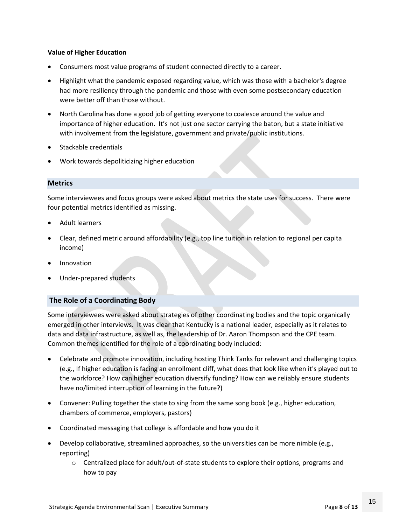#### **Value of Higher Education**

- Consumers most value programs of student connected directly to a career.
- Highlight what the pandemic exposed regarding value, which was those with a bachelor's degree had more resiliency through the pandemic and those with even some postsecondary education were better off than those without.
- North Carolina has done a good job of getting everyone to coalesce around the value and importance of higher education. It's not just one sector carrying the baton, but a state initiative with involvement from the legislature, government and private/public institutions.
- Stackable credentials
- Work towards depoliticizing higher education

#### **Metrics**

Some interviewees and focus groups were asked about metrics the state uses for success. There were four potential metrics identified as missing.

- Adult learners
- Clear, defined metric around affordability (e.g., top line tuition in relation to regional per capita income)
- **Innovation**
- Under-prepared students

#### **The Role of a Coordinating Body**

Some interviewees were asked about strategies of other coordinating bodies and the topic organically emerged in other interviews. It was clear that Kentucky is a national leader, especially as it relates to data and data infrastructure, as well as, the leadership of Dr. Aaron Thompson and the CPE team. Common themes identified for the role of a coordinating body included:

- Celebrate and promote innovation, including hosting Think Tanks for relevant and challenging topics (e.g., If higher education is facing an enrollment cliff, what does that look like when it's played out to the workforce? How can higher education diversify funding? How can we reliably ensure students have no/limited interruption of learning in the future?)
- Convener: Pulling together the state to sing from the same song book (e.g., higher education, chambers of commerce, employers, pastors)
- Coordinated messaging that college is affordable and how you do it
- Develop collaborative, streamlined approaches, so the universities can be more nimble (e.g., reporting)
	- $\circ$  Centralized place for adult/out-of-state students to explore their options, programs and how to pay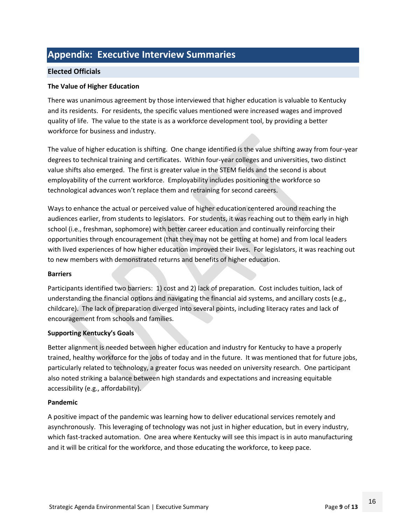### **Appendix: Executive Interview Summaries**

#### **Elected Officials**

#### **The Value of Higher Education**

There was unanimous agreement by those interviewed that higher education is valuable to Kentucky and its residents. For residents, the specific values mentioned were increased wages and improved quality of life. The value to the state is as a workforce development tool, by providing a better workforce for business and industry.

The value of higher education is shifting. One change identified is the value shifting away from four-year degrees to technical training and certificates. Within four-year colleges and universities, two distinct value shifts also emerged. The first is greater value in the STEM fields and the second is about employability of the current workforce. Employability includes positioning the workforce so technological advances won't replace them and retraining for second careers.

Ways to enhance the actual or perceived value of higher education centered around reaching the audiences earlier, from students to legislators. For students, it was reaching out to them early in high school (i.e., freshman, sophomore) with better career education and continually reinforcing their opportunities through encouragement (that they may not be getting at home) and from local leaders with lived experiences of how higher education improved their lives. For legislators, it was reaching out to new members with demonstrated returns and benefits of higher education.

#### **Barriers**

Participants identified two barriers: 1) cost and 2) lack of preparation. Cost includes tuition, lack of understanding the financial options and navigating the financial aid systems, and ancillary costs (e.g., childcare). The lack of preparation diverged into several points, including literacy rates and lack of encouragement from schools and families.

#### **Supporting Kentucky's Goals**

Better alignment is needed between higher education and industry for Kentucky to have a properly trained, healthy workforce for the jobs of today and in the future. It was mentioned that for future jobs, particularly related to technology, a greater focus was needed on university research. One participant also noted striking a balance between high standards and expectations and increasing equitable accessibility (e.g., affordability).

#### **Pandemic**

A positive impact of the pandemic was learning how to deliver educational services remotely and asynchronously. This leveraging of technology was not just in higher education, but in every industry, which fast-tracked automation. One area where Kentucky will see this impact is in auto manufacturing and it will be critical for the workforce, and those educating the workforce, to keep pace.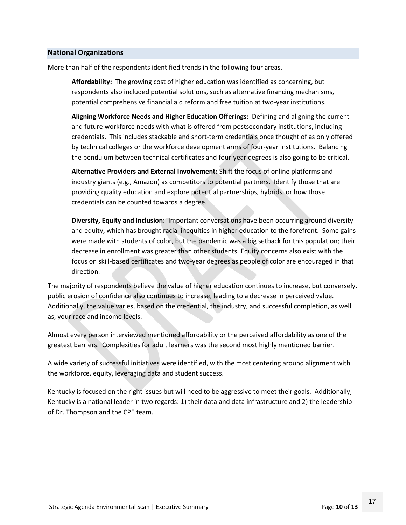#### **National Organizations**

More than half of the respondents identified trends in the following four areas.

**Affordability:** The growing cost of higher education was identified as concerning, but respondents also included potential solutions, such as alternative financing mechanisms, potential comprehensive financial aid reform and free tuition at two-year institutions.

**Aligning Workforce Needs and Higher Education Offerings:** Defining and aligning the current and future workforce needs with what is offered from postsecondary institutions, including credentials. This includes stackable and short-term credentials once thought of as only offered by technical colleges or the workforce development arms of four-year institutions. Balancing the pendulum between technical certificates and four-year degrees is also going to be critical.

**Alternative Providers and External Involvement:** Shift the focus of online platforms and industry giants (e.g., Amazon) as competitors to potential partners. Identify those that are providing quality education and explore potential partnerships, hybrids, or how those credentials can be counted towards a degree.

**Diversity, Equity and Inclusion:** Important conversations have been occurring around diversity and equity, which has brought racial inequities in higher education to the forefront. Some gains were made with students of color, but the pandemic was a big setback for this population; their decrease in enrollment was greater than other students. Equity concerns also exist with the focus on skill-based certificates and two-year degrees as people of color are encouraged in that direction.

The majority of respondents believe the value of higher education continues to increase, but conversely, public erosion of confidence also continues to increase, leading to a decrease in perceived value. Additionally, the value varies, based on the credential, the industry, and successful completion, as well as, your race and income levels.

Almost every person interviewed mentioned affordability or the perceived affordability as one of the greatest barriers. Complexities for adult learners was the second most highly mentioned barrier.

A wide variety of successful initiatives were identified, with the most centering around alignment with the workforce, equity, leveraging data and student success.

Kentucky is focused on the right issues but will need to be aggressive to meet their goals. Additionally, Kentucky is a national leader in two regards: 1) their data and data infrastructure and 2) the leadership of Dr. Thompson and the CPE team.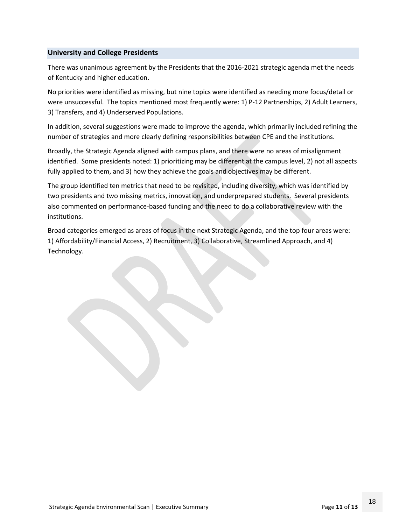#### **University and College Presidents**

There was unanimous agreement by the Presidents that the 2016-2021 strategic agenda met the needs of Kentucky and higher education.

No priorities were identified as missing, but nine topics were identified as needing more focus/detail or were unsuccessful. The topics mentioned most frequently were: 1) P-12 Partnerships, 2) Adult Learners, 3) Transfers, and 4) Underserved Populations.

In addition, several suggestions were made to improve the agenda, which primarily included refining the number of strategies and more clearly defining responsibilities between CPE and the institutions.

Broadly, the Strategic Agenda aligned with campus plans, and there were no areas of misalignment identified. Some presidents noted: 1) prioritizing may be different at the campus level, 2) not all aspects fully applied to them, and 3) how they achieve the goals and objectives may be different.

The group identified ten metrics that need to be revisited, including diversity, which was identified by two presidents and two missing metrics, innovation, and underprepared students. Several presidents also commented on performance-based funding and the need to do a collaborative review with the institutions.

Broad categories emerged as areas of focus in the next Strategic Agenda, and the top four areas were: 1) Affordability/Financial Access, 2) Recruitment, 3) Collaborative, Streamlined Approach, and 4) Technology.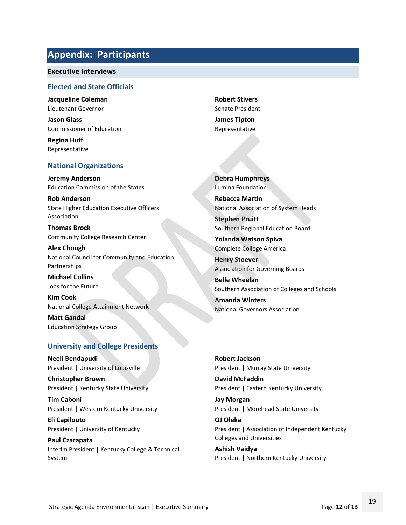### **Appendix: Participants**

#### **Executive Interviews**

#### **Elected and State Officials**

**Jacqueline Coleman** Lieutenant Governor

**Jason Glass** Commissioner of Education

**Regina Huff** Representative

#### **National Organizations**

**Jeremy Anderson** Education Commission of the States

**Rob Anderson** State Higher Education Executive Officers Association

**Thomas Brock** Community College Research Center

**Alex Chough** National Council for Community and Education Partnerships

**Michael Collins** Jobs for the Future

**Kim Cook** National College Attainment Network

**Matt Gandal** Education Strategy Group

#### **University and College Presidents**

**Neeli Bendapudi** President | University of Louisville

**Christopher Brown** President | Kentucky State University

**Tim Caboni** President | Western Kentucky University

**Eli Capilouto** President | University of Kentucky

**Paul Czarapata** Interim President | Kentucky College & Technical System

**Robert Stivers** Senate President

**James Tipton** Representative

**Debra Humphreys** Lumina Foundation

**Rebecca Martin** National Association of System Heads

**Stephen Pruitt** Southern Regional Education Board

**Yolanda Watson Spiva** Complete College America

**Henry Stoever** Association for Governing Boards

**Belle Wheelan** Southern Association of Colleges and Schools

**Amanda Winters** National Governors Association

**Robert Jackson** President | Murray State University

**David McFaddin** President | Eastern Kentucky University

**Jay Morgan** President | Morehead State University

**OJ Oleka** President | Association of Independent Kentucky Colleges and Universities

**Ashish Vaidya** President | Northern Kentucky University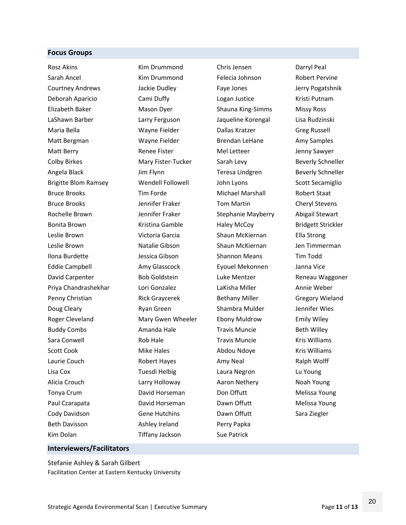#### **Focus Groups**

Rosz Akins Sarah Ancel Courtney Andrews Deborah Aparicio Elizabeth Baker LaShawn Barber Maria Bella Matt Bergman Matt Berry Colby Birkes Angela Black Brigitte Blom Ramsey Bruce Brooks Bruce Brooks Rochelle Brown Bonita Brown Leslie Brown Leslie Brown Ilona Burdette Eddie Campbell David Carpenter Priya Chandrashekhar Penny Christian Doug Cleary Roger Cleveland Buddy Combs Sara Conwell Scott Cook Laurie Couch Lisa Cox Alicia Crouch Tonya Crum Paul Czarapata Cody Davidson Beth Davisson Kim Dolan

Kim Drummond Kim Drummond Jackie Dudley Cami Duffy Mason Dyer Larry Ferguson Wayne Fielder Wayne Fielder Renee Fister Mary Fister-Tucker Jim Flynn Wendell Followell Tim Forde Jennifer Fraker Jennifer Fraker Kristina Gamble Victoria Garcia Natalie Gibson Jessica Gibson Amy Glasscock Bob Goldstein Lori Gonzalez Rick Graycerek Ryan Green Mary Gwen Wheeler Amanda Hale Rob Hale Mike Hales Robert Hayes Tuesdi Helbig Larry Holloway David Horseman David Horseman Gene Hutchins Ashley Ireland Tiffany Jackson

Chris Jensen Felecia Johnson Faye Jones Logan Justice Shauna King-Simms Jaqueline Korengal Dallas Kratzer Brendan LeHane Mel Letteer Sarah Levy Teresa Lindgren John Lyons Michael Marshall Tom Martin Stephanie Mayberry Haley McCoy Shaun McKiernan Shaun McKiernan Shannon Means Eyouel Mekonnen Luke Mentzer LaKisha Miller Bethany Miller Shambra Mulder Ebony Muldrow Travis Muncie Travis Muncie Abdou Ndoye Amy Neal Laura Negron Aaron Nethery Don Offutt Dawn Offutt Dawn Offutt Perry Papka Sue Patrick

Darryl Peal Robert Pervine Jerry Pogatshnik Kristi Putnam Missy Ross Lisa Rudzinski Greg Russell Amy Samples Jenny Sawyer Beverly Schneller Beverly Schneller Scott Secamiglio Robert Staat Cheryl Stevens Abigail Stewart Bridgett Strickler Ella Strong Jen Timmerman Tim Todd Janna Vice Reneau Waggoner Annie Weber Gregory Wieland Jennifer Wies Emily Wiley Beth Willey Kris Williams Kris Williams Ralph Wolff Lu Young Noah Young Melissa Young Melissa Young Sara Ziegler

### Stefanie Ashley & Sarah Gilbert

**Interviewers/Facilitators**

Facilitation Center at Eastern Kentucky University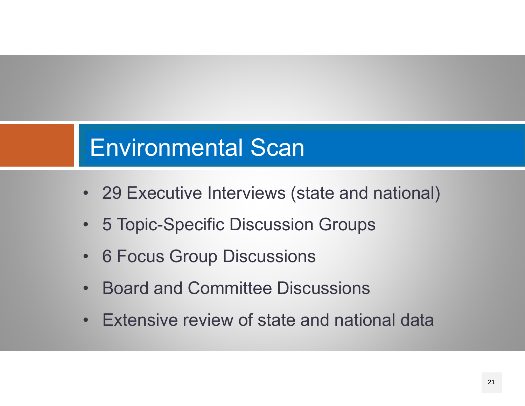# Environmental Scan

- 29 Executive Interviews (state and national)
- 5 Topic-Specific Discussion Groups
- 6 Focus Group Discussions
- •Board and Committee Discussions
- Extensive review of state and national data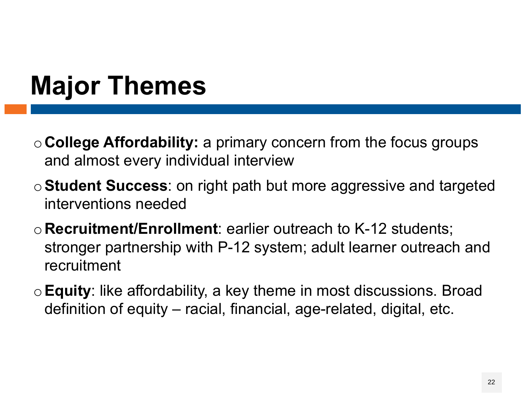# **Major Themes**

- <sup>o</sup>**College Affordability:** a primary concern from the focus groups and almost every individual interview
- <sup>o</sup>**Student Success**: on right path but more aggressive and targeted interventions needed
- <sup>o</sup>**Recruitment/Enrollment**: earlier outreach to K-12 students; stronger partnership with P-12 system; adult learner outreach and recruitment
- <sup>o</sup>**Equity**: like affordability, a key theme in most discussions. Broad definition of equity – racial, financial, age-related, digital, etc.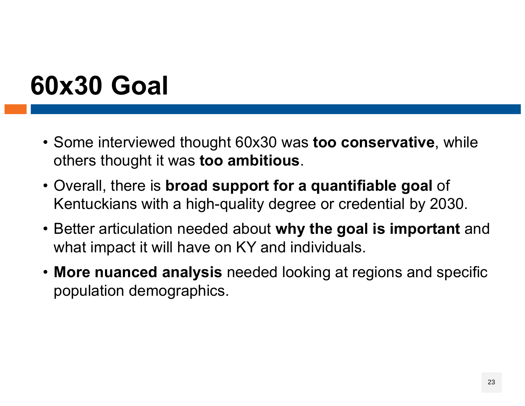# **60x30 Goal**

- Some interviewed thought 60x30 was **too conservative**, while others thought it was **too ambitious**.
- Overall, there is **broad support for a quantifiable goal** of Kentuckians with a high-quality degree or credential by 2030.
- Better articulation needed about **why the goal is important** and what impact it will have on KY and individuals.
- **More nuanced analysis** needed looking at regions and specific population demographics.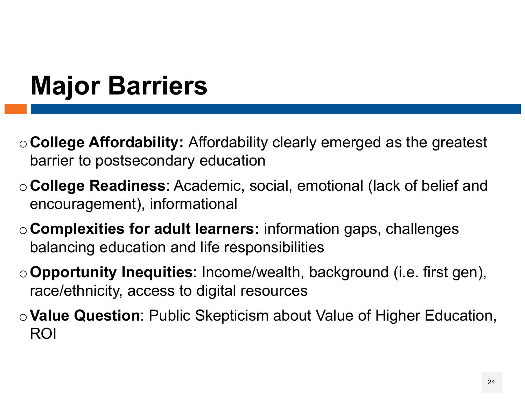# **Major Barriers**

- <sup>o</sup>**College Affordability:** Affordability clearly emerged as the greatest barrier to postsecondary education
- <sup>o</sup>**College Readiness**: Academic, social, emotional (lack of belief and encouragement), informational
- <sup>o</sup>**Complexities for adult learners:** information gaps, challenges balancing education and life responsibilities
- <sup>o</sup>**Opportunity Inequities**: Income/wealth, background (i.e. first gen), race/ethnicity, access to digital resources
- <sup>o</sup>**Value Question**: Public Skepticism about Value of Higher Education, ROI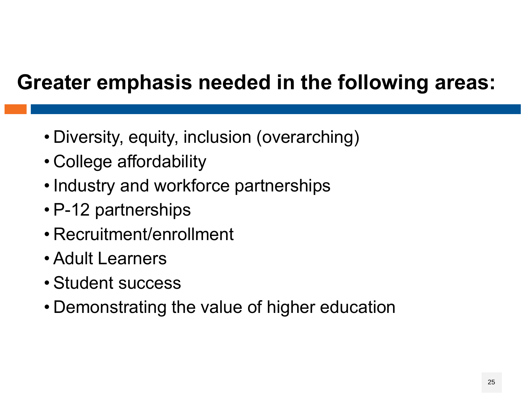## **Greater emphasis needed in the following areas:**

- Diversity, equity, inclusion (overarching)
- College affordability
- Industry and workforce partnerships
- P-12 partnerships
- Recruitment/enrollment
- Adult Learners
- Student success
- Demonstrating the value of higher education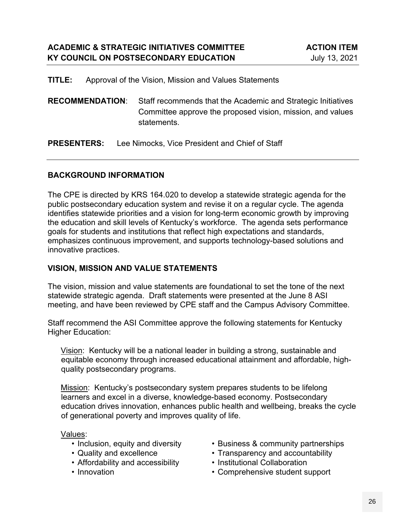**TITLE:** Approval of the Vision, Mission and Values Statements

**RECOMMENDATION**: Staff recommends that the Academic and Strategic Initiatives Committee approve the proposed vision, mission, and values statements.

**PRESENTERS:** Lee Nimocks, Vice President and Chief of Staff

#### **BACKGROUND INFORMATION**

The CPE is directed by KRS 164.020 to develop a statewide strategic agenda for the public postsecondary education system and revise it on a regular cycle. The agenda identifies statewide priorities and a vision for long-term economic growth by improving the education and skill levels of Kentucky's workforce. The agenda sets performance goals for students and institutions that reflect high expectations and standards, emphasizes continuous improvement, and supports technology-based solutions and innovative practices.

#### **VISION, MISSION AND VALUE STATEMENTS**

The vision, mission and value statements are foundational to set the tone of the next statewide strategic agenda. Draft statements were presented at the June 8 ASI meeting, and have been reviewed by CPE staff and the Campus Advisory Committee.

Staff recommend the ASI Committee approve the following statements for Kentucky Higher Education:

Vision: Kentucky will be a national leader in building a strong, sustainable and equitable economy through increased educational attainment and affordable, highquality postsecondary programs.

Mission: Kentucky's postsecondary system prepares students to be lifelong learners and excel in a diverse, knowledge-based economy. Postsecondary education drives innovation, enhances public health and wellbeing, breaks the cycle of generational poverty and improves quality of life.

Values:

- Inclusion, equity and diversity
- Quality and excellence
- Affordability and accessibility
- Innovation
- Business & community partnerships
- Transparency and accountability
- Institutional Collaboration
- Comprehensive student support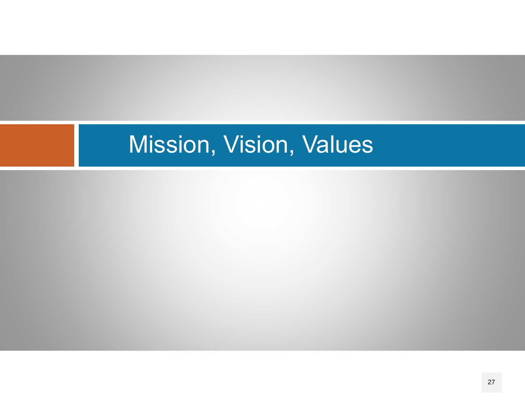# Mission, Vision, Values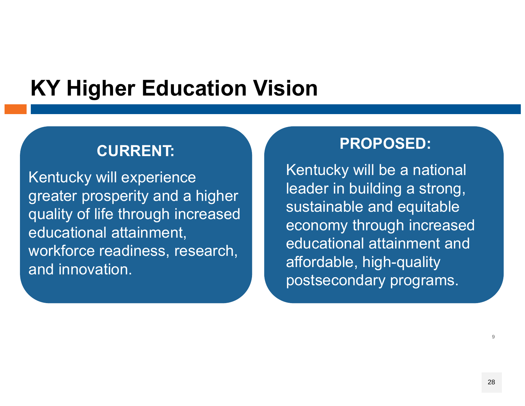## **KY Higher Education Vision**

### **CURRENT:**

Kentucky will experience greater prosperity and a higher quality of life through increased educational attainment, workforce readiness, research, and innovation.

### **PROPOSED:**

Kentucky will be a national leader in building a strong, sustainable and equitable economy through increased educational attainment and affordable, high-quality postsecondary programs.

9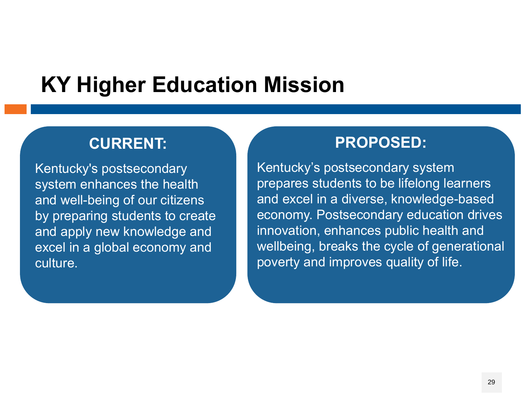## **KY Higher Education Mission**

### **CURRENT:**

Kentucky's postsecondary system enhances the health and well-being of our citizens by preparing students to create and apply new knowledge and excel in a global economy and culture.

### **PROPOSED:**

Kentucky's postsecondary system prepares students to be lifelong learners and excel in a diverse, knowledge-based economy. Postsecondary education drives innovation, enhances public health and wellbeing, breaks the cycle of generational poverty and improves quality of life.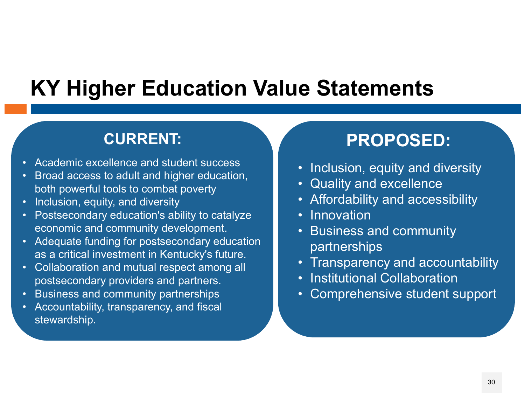## **KY Higher Education Value Statements**

COUNCIL ON POSTSECONDARY EDUCATION CONTINUES INTO A REPORT OF DESCRIPTION OF POSTSECONDARY EDUCATION CONTINUES

## **CURRENT:**

- •Academic excellence and student success
- $\bullet$  Broad access to adult and higher education, both powerful tools to combat poverty
- •Inclusion, equity, and diversity
- $\bullet$  Postsecondary education's ability to catalyze economic and community development.
- $\bullet$  Adequate funding for postsecondary education as a critical investment in Kentucky's future.
- • Collaboration and mutual respect among all postsecondary providers and partners.
- •Business and community partnerships
- Accountability, transparency, and fiscal stewardship.

## **PROPOSED:**

- Inclusion, equity and diversity
- Quality and excellence
- Affordability and accessibility
- Innovation
- Business and community partnerships
- Transparency and accountability
- Institutional Collaboration
- $\bullet$ Comprehensive student support

11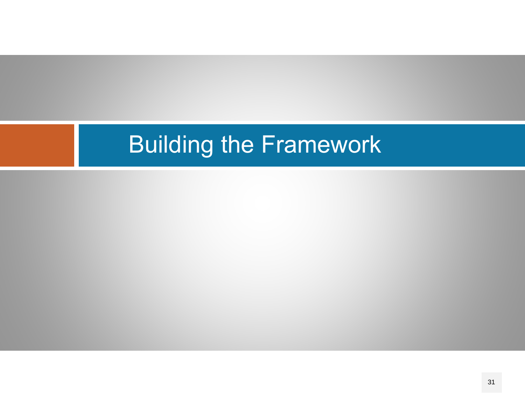# Building the Framework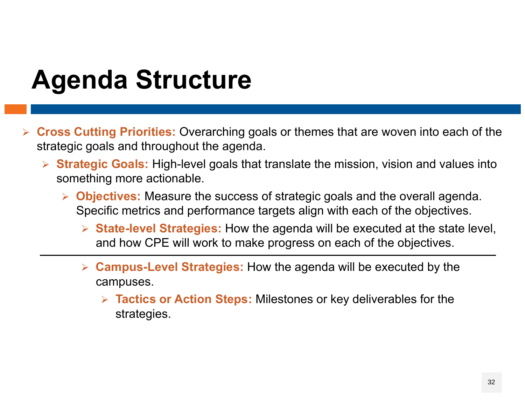# **Agenda Structure**

- **Cross Cutting Priorities:** Overarching goals or themes that are woven into each of the strategic goals and throughout the agenda.
	- **Strategic Goals:** High-level goals that translate the mission, vision and values into something more actionable.
		- **Objectives:** Measure the success of strategic goals and the overall agenda. Specific metrics and performance targets align with each of the objectives.
			- **State-level Strategies:** How the agenda will be executed at the state level, and how CPE will work to make progress on each of the objectives.
			- **Campus-Level Strategies:** How the agenda will be executed by the campuses.
				- **Tactics or Action Steps:** Milestones or key deliverables for the strategies.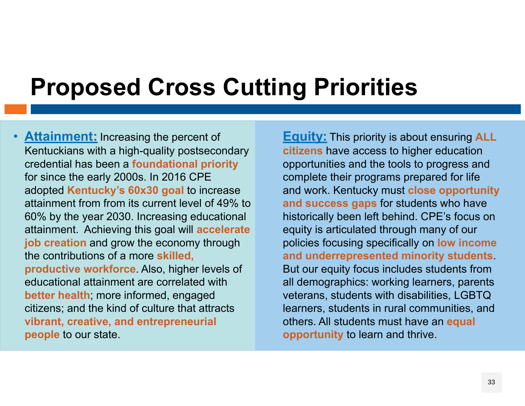# **Proposed Cross Cutting Priorities**

•**Attainment:** Increasing the percent of Kentuckians with a high-quality postsecondary credential has been a **foundational priority**  for since the early 2000s. In 2016 CPE adopted **Kentucky's 60x30 goal** to increase attainment from from its current level of 49% to 60% by the year 2030. Increasing educational attainment. Achieving this goal will **accelerate job creation** and grow the economy through the contributions of a more **skilled, productive workforce**. Also, higher levels of educational attainment are correlated with **better health**; more informed, engaged citizens; and the kind of culture that attracts **vibrant, creative, and entrepreneurial people** to our state.

**Equity:** This priority is about ensuring **ALL citizens** have access to higher education opportunities and the tools to progress and complete their programs prepared for life and work. Kentucky must **close opportunity and success gaps** for students who have historically been left behind. CPE's focus on equity is articulated through many of our policies focusing specifically on **low income and underrepresented minority students**. But our equity focus includes students from all demographics: working learners, parents veterans, students with disabilities, LGBTQ learners, students in rural communities, and others. All students must have an **equal opportunity** to learn and thrive.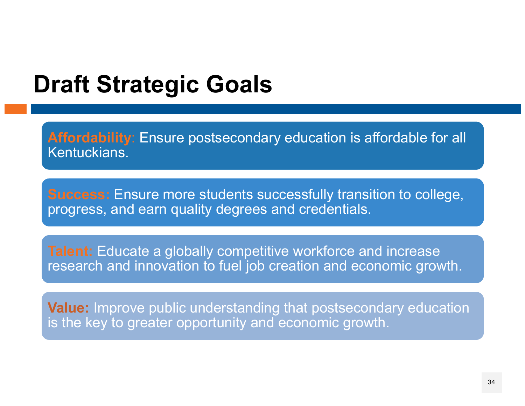## **Draft Strategic Goals**

**Affordability**: Ensure postsecondary education is affordable for all Kentuckians.

progress, and earn quality degrees and credentials. **Success:** Ensure more students successfully transition to college,

**Talent:** Educate a globally competitive workforce and increase auvir and research and innovation to fuel job creation and economic growth.

Value: Improve public understanding that postsecondary education is the key to greater opportunity and economic growth.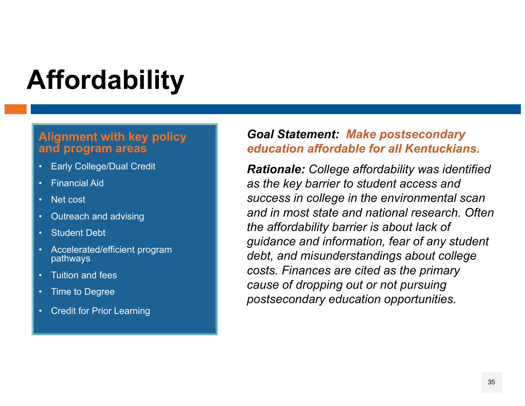# **Affordability**

### **Alignment with key policy and program areas**

- •Early College/Dual Credit
- •Financial Aid
- •Net cost
- •Outreach and advising
- •Student Debt
- • Accelerated/efficient program pathways
- •Tuition and fees
- Time to Degree
- •Credit for Prior Learning

### *Goal Statement: Make postsecondary education affordable for all Kentuckians.*

*Rationale: College affordability was identified as the key barrier to student access and success in college in the environmental scan and in most state and national research. Often the affordability barrier is about lack of guidance and information, fear of any student debt, and misunderstandings about college costs. Finances are cited as the primary cause of dropping out or not pursuing postsecondary education opportunities.*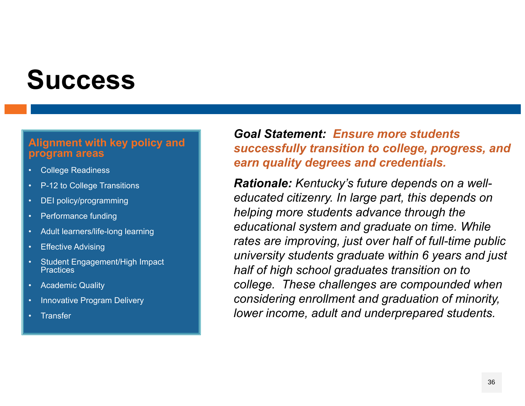# **Success**

### **Alignment with key policy and program areas**

- College Readiness
- P-12 to College Transitions
- DEI policy/programming
- •Performance funding
- Adult learners/life-long learning
- Effective Advising
- Student Engagement/High Impact **Practices**
- •Academic Quality
- Innovative Program Delivery
- **Transfer**

### *Goal Statement: Ensure more students successfully transition to college, progress, and earn quality degrees and credentials.*

*Rationale: Kentucky's future depends on a welleducated citizenry. In large part, this depends on helping more students advance through the educational system and graduate on time. While rates are improving, just over half of full-time public university students graduate within 6 years and just half of high school graduates transition on to college. These challenges are compounded when considering enrollment and graduation of minority, lower income, adult and underprepared students.*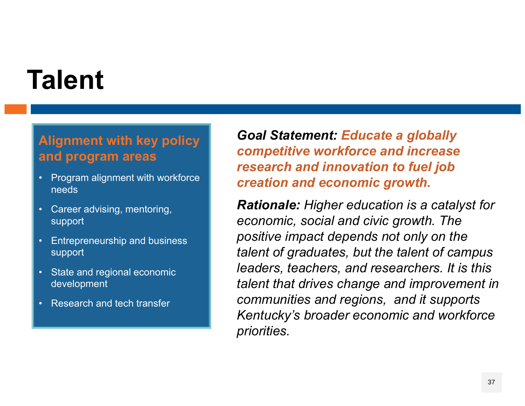# **Talent**

### **Alignment with key policy and program areas**

- Program alignment with workforce needs
- Career advising, mentoring, support
- • Entrepreneurship and business support
- State and regional economic development
- •Research and tech transfer

*Goal Statement: Educate a globally competitive workforce and increase research and innovation to fuel job creation and economic growth.* 

*Rationale: Higher education is a catalyst for economic, social and civic growth. The positive impact depends not only on the talent of graduates, but the talent of campus leaders, teachers, and researchers. It is this talent that drives change and improvement in communities and regions, and it supports Kentucky's broader economic and workforce priorities.*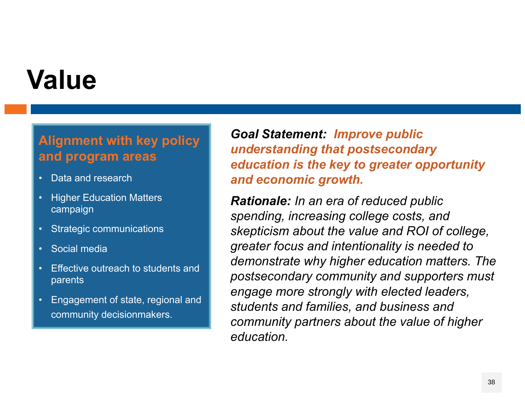# **Value**

### **Alignment with key policy and program areas**

- •Data and research
- • Higher Education Matters campaign
- Strategic communications
- •Social media
- • Effective outreach to students and parents
- • Engagement of state, regional and community decisionmakers.

*Goal Statement: Improve public understanding that postsecondary education is the key to greater opportunity and economic growth.*

*Rationale: In an era of reduced public spending, increasing college costs, and skepticism about the value and ROI of college, greater focus and intentionality is needed to demonstrate why higher education matters. The postsecondary community and supporters must engage more strongly with elected leaders, students and families, and business and community partners about the value of higher education.*